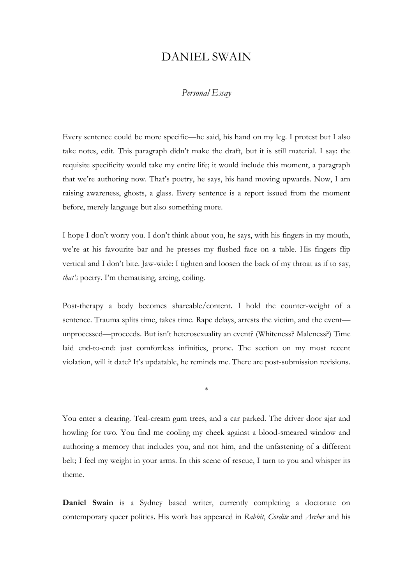## DANIEL SWAIN

## *Personal Essay*

Every sentence could be more specific—he said, his hand on my leg. I protest but I also take notes, edit. This paragraph didn't make the draft, but it is still material. I say: the requisite specificity would take my entire life; it would include this moment, a paragraph that we're authoring now. That's poetry, he says, his hand moving upwards. Now, I am raising awareness, ghosts, a glass. Every sentence is a report issued from the moment before, merely language but also something more.

I hope I don't worry you. I don't think about you, he says, with his fingers in my mouth, we're at his favourite bar and he presses my flushed face on a table. His fingers flip vertical and I don't bite. Jaw-wide: I tighten and loosen the back of my throat as if to say, *that's* poetry. I'm thematising, arcing, coiling.

Post-therapy a body becomes shareable/content. I hold the counter-weight of a sentence. Trauma splits time, takes time. Rape delays, arrests the victim, and the event unprocessed—proceeds. But isn't heterosexuality an event? (Whiteness? Maleness?) Time laid end-to-end: just comfortless infinities, prone. The section on my most recent violation, will it date? It's updatable, he reminds me. There are post-submission revisions.

\*

You enter a clearing. Teal-cream gum trees, and a car parked. The driver door ajar and howling for two. You find me cooling my cheek against a blood-smeared window and authoring a memory that includes you, and not him, and the unfastening of a different belt; I feel my weight in your arms. In this scene of rescue, I turn to you and whisper its theme.

**Daniel Swain** is a Sydney based writer, currently completing a doctorate on contemporary queer politics. His work has appeared in *Rabbit*, *Cordite* and *Archer* and his